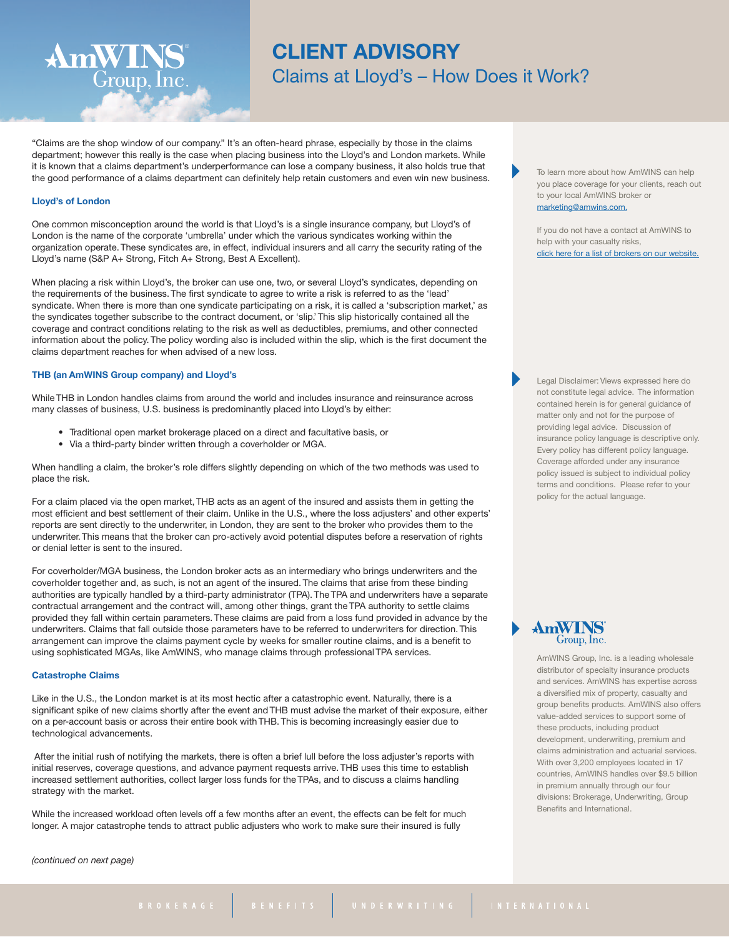# **CLIENT ADVISORY** Claims at Lloyd's – How Does it Work?

"Claims are the shop window of our company." It's an often-heard phrase, especially by those in the claims department; however this really is the case when placing business into the Lloyd's and London markets. While it is known that a claims department's underperformance can lose a company business, it also holds true that the good performance of a claims department can definitely help retain customers and even win new business.

# **Lloyd's of London**

AmWINS®

 $\widetilde{\rm Group},\widetilde{\rm Inc}.$ 

One common misconception around the world is that Lloyd's is a single insurance company, but Lloyd's of London is the name of the corporate 'umbrella' under which the various syndicates working within the organization operate. These syndicates are, in effect, individual insurers and all carry the security rating of the Lloyd's name (S&P A+ Strong, Fitch A+ Strong, Best A Excellent).

When placing a risk within Lloyd's, the broker can use one, two, or several Lloyd's syndicates, depending on the requirements of the business. The first syndicate to agree to write a risk is referred to as the 'lead' syndicate. When there is more than one syndicate participating on a risk, it is called a 'subscription market,' as the syndicates together subscribe to the contract document, or 'slip.' This slip historically contained all the coverage and contract conditions relating to the risk as well as deductibles, premiums, and other connected information about the policy. The policy wording also is included within the slip, which is the first document the claims department reaches for when advised of a new loss.

#### **THB (an AmWINS Group company) and Lloyd's**

While THB in London handles claims from around the world and includes insurance and reinsurance across many classes of business, U.S. business is predominantly placed into Lloyd's by either:

- Traditional open market brokerage placed on a direct and facultative basis, or
- Via a third-party binder written through a coverholder or MGA.

When handling a claim, the broker's role differs slightly depending on which of the two methods was used to place the risk.

For a claim placed via the open market, THB acts as an agent of the insured and assists them in getting the most efficient and best settlement of their claim. Unlike in the U.S., where the loss adjusters' and other experts' reports are sent directly to the underwriter, in London, they are sent to the broker who provides them to the underwriter. This means that the broker can pro-actively avoid potential disputes before a reservation of rights or denial letter is sent to the insured.

For coverholder/MGA business, the London broker acts as an intermediary who brings underwriters and the coverholder together and, as such, is not an agent of the insured. The claims that arise from these binding authorities are typically handled by a third-party administrator (TPA). The TPA and underwriters have a separate contractual arrangement and the contract will, among other things, grant the TPA authority to settle claims provided they fall within certain parameters. These claims are paid from a loss fund provided in advance by the underwriters. Claims that fall outside those parameters have to be referred to underwriters for direction. This arrangement can improve the claims payment cycle by weeks for smaller routine claims, and is a benefit to using sophisticated MGAs, like AmWINS, who manage claims through professional TPA services.

#### **Catastrophe Claims**

Like in the U.S., the London market is at its most hectic after a catastrophic event. Naturally, there is a significant spike of new claims shortly after the event and THB must advise the market of their exposure, either on a per-account basis or across their entire book with THB. This is becoming increasingly easier due to technological advancements.

After the initial rush of notifying the markets, there is often a brief lull before the loss adjuster's reports with initial reserves, coverage questions, and advance payment requests arrive. THB uses this time to establish increased settlement authorities, collect larger loss funds for the TPAs, and to discuss a claims handling strategy with the market.

While the increased workload often levels off a few months after an event, the effects can be felt for much longer. A major catastrophe tends to attract public adjusters who work to make sure their insured is fully

*(continued on next page)*

To learn more about how AmWINS can help you place coverage for your clients, reach out to your local AmWINS broker or [marketing@amwins.com.](mailto:marketing@amwins.com)

If you do not have a contact at AmWINS to help with your casualty risks. click here for a list of brokers on our [website.](http://www.amwins.com/SearchCenter/Pages/ContactSearch.aspx?k=casualty)

Legal Disclaimer: Views expressed here do not constitute legal advice. The information contained herein is for general guidance of matter only and not for the purpose of providing legal advice. Discussion of insurance policy language is descriptive only. Every policy has different policy language. Coverage afforded under any insurance policy issued is subject to individual policy terms and conditions. Please refer to your policy for the actual language.

AmWINS Group, Inc. is a leading wholesale distributor of specialty insurance products and services. AmWINS has expertise across a diversified mix of property, casualty and group benefits products. AmWINS also offers value-added services to support some of these products, including product development, underwriting, premium and claims administration and actuarial services. With over 3,200 employees located in 17 countries, AmWINS handles over \$9.5 billion in premium annually through our four divisions: Brokerage, Underwriting, Group Benefits and International.